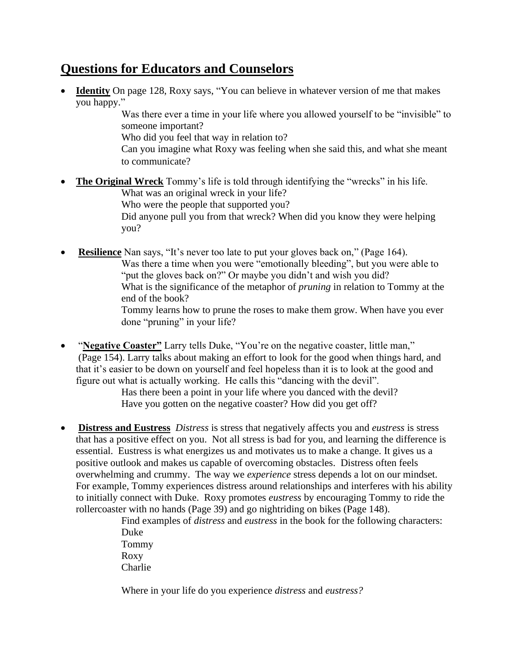## **Questions for Educators and Counselors**

• **Identity** On page 128, Roxy says, "You can believe in whatever version of me that makes you happy."

> Was there ever a time in your life where you allowed yourself to be "invisible" to someone important?

Who did you feel that way in relation to?

Can you imagine what Roxy was feeling when she said this, and what she meant to communicate?

- **The Original Wreck** Tommy's life is told through identifying the "wrecks" in his life. What was an original wreck in your life? Who were the people that supported you? Did anyone pull you from that wreck? When did you know they were helping you?
- **Resilience** Nan says, "It's never too late to put your gloves back on," (Page 164). Was there a time when you were "emotionally bleeding", but you were able to "put the gloves back on?" Or maybe you didn't and wish you did? What is the significance of the metaphor of *pruning* in relation to Tommy at the end of the book? Tommy learns how to prune the roses to make them grow. When have you ever done "pruning" in your life?
- "**Negative Coaster"** Larry tells Duke, "You're on the negative coaster, little man," (Page 154). Larry talks about making an effort to look for the good when things hard, and that it's easier to be down on yourself and feel hopeless than it is to look at the good and figure out what is actually working. He calls this "dancing with the devil".

Has there been a point in your life where you danced with the devil? Have you gotten on the negative coaster? How did you get off?

• **Distress and Eustress** *Distress* is stress that negatively affects you and *eustress* is stress that has a positive effect on you. Not all stress is bad for you, and learning the difference is essential. Eustress is what energizes us and motivates us to make a change. It gives us a positive outlook and makes us capable of overcoming obstacles. Distress often feels overwhelming and crummy. The way we *experience* stress depends a lot on our mindset. For example, Tommy experiences distress around relationships and interferes with his ability to initially connect with Duke. Roxy promotes *eustress* by encouraging Tommy to ride the rollercoaster with no hands (Page 39) and go nightriding on bikes (Page 148).

Find examples of *distress* and *eustress* in the book for the following characters: Duke Tommy Roxy Charlie

Where in your life do you experience *distress* and *eustress?*